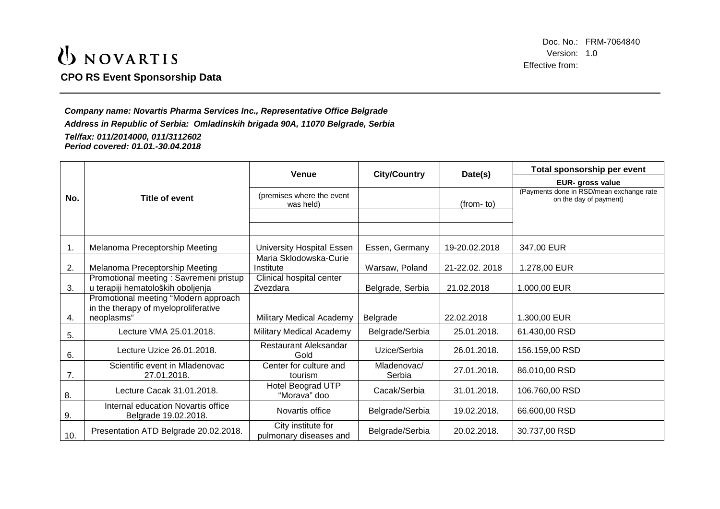### UNOVARTIS **CPO RS Event Sponsorship Data**

Doc. No.: FRM-7064840 Version: 1.0 Effective from:

*Company name: Novartis Pharma Services Inc., Representative Office Belgrade Address in Republic of Serbia: Omladinskih brigada 90A, 11070 Belgrade, Serbia Tel/fax: 011/2014000, 011/3112602 Period covered: 01.01.-30.04.2018*

|     |                                                                              | <b>Venue</b>                                 | <b>City/Country</b>   | Date(s)       | Total sponsorship per event                                        |
|-----|------------------------------------------------------------------------------|----------------------------------------------|-----------------------|---------------|--------------------------------------------------------------------|
|     |                                                                              |                                              |                       |               | EUR- gross value                                                   |
| No. | Title of event                                                               | (premises where the event<br>was held)       |                       | $(from-to)$   | (Payments done in RSD/mean exchange rate<br>on the day of payment) |
|     |                                                                              |                                              |                       |               |                                                                    |
|     |                                                                              |                                              |                       |               |                                                                    |
| 1.  | Melanoma Preceptorship Meeting                                               | University Hospital Essen                    | Essen, Germany        | 19-20.02.2018 | 347,00 EUR                                                         |
| 2.  | Melanoma Preceptorship Meeting                                               | Maria Sklodowska-Curie<br>Institute          | Warsaw, Poland        | 21-22.02.2018 | 1.278,00 EUR                                                       |
| 3.  | Promotional meeting : Savremeni pristup<br>u terapiji hematoloških oboljenja | Clinical hospital center<br>Zvezdara         | Belgrade, Serbia      | 21.02.2018    | 1.000,00 EUR                                                       |
|     | Promotional meeting "Modern approach<br>in the therapy of myeloproliferative |                                              |                       |               |                                                                    |
| 4.  | neoplasms"                                                                   | Military Medical Academy                     | Belgrade              | 22.02.2018    | 1.300,00 EUR                                                       |
| 5.  | Lecture VMA 25.01.2018.                                                      | Military Medical Academy                     | Belgrade/Serbia       | 25.01.2018.   | 61.430,00 RSD                                                      |
| 6.  | Lecture Uzice 26.01.2018.                                                    | <b>Restaurant Aleksandar</b><br>Gold         | Uzice/Serbia          | 26.01.2018.   | 156.159,00 RSD                                                     |
| 7.  | Scientific event in Mladenovac<br>27.01.2018.                                | Center for culture and<br>tourism            | Mladenovac/<br>Serbia | 27.01.2018.   | 86.010,00 RSD                                                      |
| 8.  | Lecture Cacak 31.01.2018.                                                    | Hotel Beograd UTP<br>"Morava" doo            | Cacak/Serbia          | 31.01.2018.   | 106.760,00 RSD                                                     |
| 9.  | Internal education Novartis office<br>Belgrade 19.02.2018.                   | Novartis office                              | Belgrade/Serbia       | 19.02.2018.   | 66.600,00 RSD                                                      |
| 10. | Presentation ATD Belgrade 20.02.2018.                                        | City institute for<br>pulmonary diseases and | Belgrade/Serbia       | 20.02.2018.   | 30.737,00 RSD                                                      |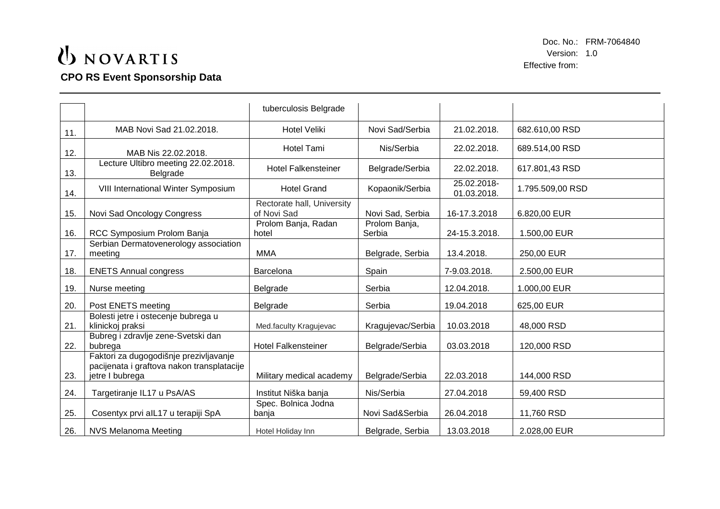## UNOVARTIS **CPO RS Event Sponsorship Data**

Doc. No.: FRM-7064840 Version: 1.0 Effective from:

|     |                                                                                                         | tuberculosis Belgrade                     |                         |                            |                  |
|-----|---------------------------------------------------------------------------------------------------------|-------------------------------------------|-------------------------|----------------------------|------------------|
| 11. | MAB Novi Sad 21.02.2018.                                                                                | <b>Hotel Veliki</b>                       | Novi Sad/Serbia         | 21.02.2018.                | 682.610,00 RSD   |
| 12. | MAB Nis 22.02.2018.                                                                                     | Hotel Tami                                | Nis/Serbia              | 22.02.2018.                | 689.514,00 RSD   |
| 13. | Lecture Ultibro meeting 22.02.2018.<br>Belgrade                                                         | <b>Hotel Falkensteiner</b>                | Belgrade/Serbia         | 22.02.2018.                | 617.801,43 RSD   |
| 14. | VIII International Winter Symposium                                                                     | <b>Hotel Grand</b>                        | Kopaonik/Serbia         | 25.02.2018-<br>01.03.2018. | 1.795.509,00 RSD |
| 15. | Novi Sad Oncology Congress                                                                              | Rectorate hall, University<br>of Novi Sad | Novi Sad, Serbia        | 16-17.3.2018               | 6.820,00 EUR     |
| 16. | RCC Symposium Prolom Banja                                                                              | Prolom Banja, Radan<br>hotel              | Prolom Banja,<br>Serbia | 24-15.3.2018.              | 1.500,00 EUR     |
| 17. | Serbian Dermatovenerology association<br>meeting                                                        | <b>MMA</b>                                | Belgrade, Serbia        | 13.4.2018.                 | 250,00 EUR       |
| 18. | <b>ENETS Annual congress</b>                                                                            | Barcelona                                 | Spain                   | 7-9.03.2018.               | 2.500,00 EUR     |
| 19. | Nurse meeting                                                                                           | Belgrade                                  | Serbia                  | 12.04.2018.                | 1.000,00 EUR     |
| 20. | Post ENETS meeting                                                                                      | Belgrade                                  | Serbia                  | 19.04.2018                 | 625,00 EUR       |
| 21. | Bolesti jetre i ostecenje bubrega u<br>klinickoj praksi                                                 | Med.faculty Kragujevac                    | Kragujevac/Serbia       | 10.03.2018                 | 48,000 RSD       |
| 22. | Bubreg i zdravlje zene-Svetski dan<br>bubrega                                                           | <b>Hotel Falkensteiner</b>                | Belgrade/Serbia         | 03.03.2018                 | 120,000 RSD      |
| 23. | Faktori za dugogodišnje prezivljavanje<br>pacijenata i graftova nakon transplatacije<br>jetre I bubrega | Military medical academy                  | Belgrade/Serbia         | 22.03.2018                 | 144,000 RSD      |
| 24. | Targetiranje IL17 u PsA/AS                                                                              | Institut Niška banja                      | Nis/Serbia              | 27.04.2018                 | 59,400 RSD       |
| 25. | Cosentyx prvi alL17 u terapiji SpA                                                                      | Spec. Bolnica Jodna<br>banja              | Novi Sad&Serbia         | 26.04.2018                 | 11,760 RSD       |
| 26. | <b>NVS Melanoma Meeting</b>                                                                             | Hotel Holiday Inn                         | Belgrade, Serbia        | 13.03.2018                 | 2.028,00 EUR     |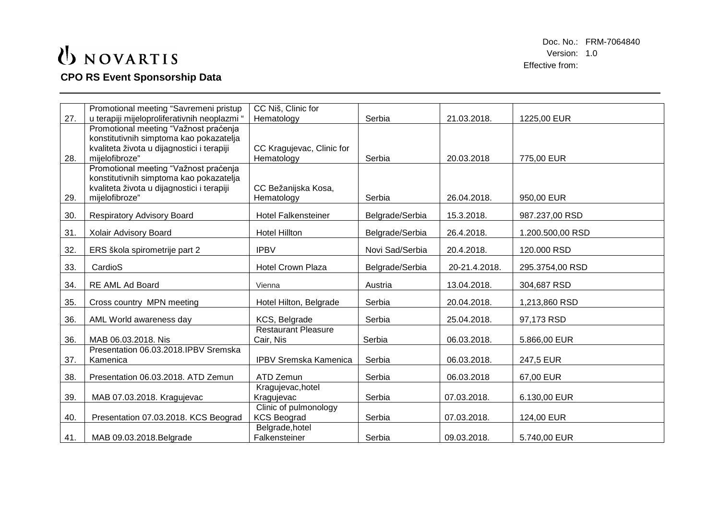# UNOVARTIS

#### **CPO RS Event Sponsorship Data**

|     | Promotional meeting "Savremeni pristup       | CC Niš, Clinic for           |                 |               |                  |
|-----|----------------------------------------------|------------------------------|-----------------|---------------|------------------|
| 27. | u terapiji mijeloproliferativnih neoplazmi " | Hematology                   | Serbia          | 21.03.2018.   | 1225,00 EUR      |
|     | Promotional meeting "Važnost praćenja        |                              |                 |               |                  |
|     | konstitutivnih simptoma kao pokazatelja      |                              |                 |               |                  |
|     | kvaliteta života u dijagnostici i terapiji   | CC Kragujevac, Clinic for    |                 |               |                  |
| 28. | mijelofibroze"                               | Hematology                   | Serbia          | 20.03.2018    | 775,00 EUR       |
|     | Promotional meeting "Važnost praćenja        |                              |                 |               |                  |
|     | konstitutivnih simptoma kao pokazatelja      |                              |                 |               |                  |
|     | kvaliteta života u dijagnostici i terapiji   | CC Bežanijska Kosa,          |                 |               |                  |
| 29. | mijelofibroze"                               | Hematology                   | Serbia          | 26.04.2018.   | 950,00 EUR       |
|     |                                              |                              |                 |               |                  |
| 30. | <b>Respiratory Advisory Board</b>            | <b>Hotel Falkensteiner</b>   | Belgrade/Serbia | 15.3.2018.    | 987.237,00 RSD   |
|     |                                              | <b>Hotel Hillton</b>         |                 | 26.4.2018.    | 1.200.500,00 RSD |
| 31. | Xolair Advisory Board                        |                              | Belgrade/Serbia |               |                  |
| 32. | ERS škola spirometrije part 2                | <b>IPBV</b>                  | Novi Sad/Serbia | 20.4.2018.    | 120.000 RSD      |
|     |                                              |                              |                 |               |                  |
| 33. | CardioS                                      | <b>Hotel Crown Plaza</b>     | Belgrade/Serbia | 20-21.4.2018. | 295.3754,00 RSD  |
| 34. | RE AML Ad Board                              |                              |                 | 13.04.2018.   |                  |
|     |                                              | Vienna                       | Austria         |               | 304,687 RSD      |
| 35. | Cross country MPN meeting                    | Hotel Hilton, Belgrade       | Serbia          | 20.04.2018.   | 1,213,860 RSD    |
|     |                                              |                              |                 |               |                  |
| 36. | AML World awareness day                      | KCS, Belgrade                | Serbia          | 25.04.2018.   | 97,173 RSD       |
|     |                                              | <b>Restaurant Pleasure</b>   |                 |               |                  |
| 36. | MAB 06.03.2018. Nis                          | Cair, Nis                    | Serbia          | 06.03.2018.   | 5.866,00 EUR     |
|     | Presentation 06.03.2018.IPBV Sremska         |                              |                 |               |                  |
| 37. | Kamenica                                     | <b>IPBV Sremska Kamenica</b> | Serbia          | 06.03.2018.   | 247,5 EUR        |
|     |                                              |                              |                 |               |                  |
| 38. | Presentation 06.03.2018. ATD Zemun           | ATD Zemun                    | Serbia          | 06.03.2018    | 67,00 EUR        |
|     |                                              | Kragujevac, hotel            |                 |               |                  |
| 39. | MAB 07.03.2018. Kragujevac                   | Kragujevac                   | Serbia          | 07.03.2018.   | 6.130,00 EUR     |
|     |                                              | Clinic of pulmonology        |                 |               |                  |
| 40. | Presentation 07.03.2018. KCS Beograd         | <b>KCS Beograd</b>           | Serbia          | 07.03.2018.   | 124,00 EUR       |
|     |                                              | Belgrade, hotel              |                 |               |                  |
| 41. | MAB 09.03.2018. Belgrade                     | Falkensteiner                | Serbia          | 09.03.2018.   | 5.740,00 EUR     |